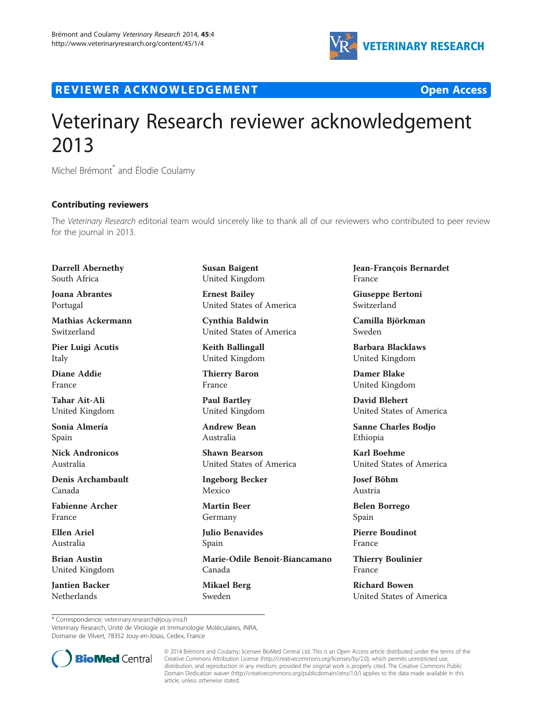

R EVI EW E R ACKNOW L EDG EM EN T Open Access



## Veterinary Research reviewer acknowledgement 2013

Michel Brémont<sup>\*</sup> and Élodie Coulamy

## Contributing reviewers

The Veterinary Research editorial team would sincerely like to thank all of our reviewers who contributed to peer review for the journal in 2013.

Darrell Abernethy South Africa

Joana Abrantes Portugal

Mathias Ackermann Switzerland

Pier Luigi Acutis Italy

Diane Addie France

Tahar Ait-Ali United Kingdom

Sonia Almería Spain

Nick Andronicos Australia

Denis Archambault Canada

Fabienne Archer France

Ellen Ariel Australia

Brian Austin United Kingdom

Jantien Backer Netherlands

Susan Baigent United Kingdom

Ernest Bailey United States of America

Cynthia Baldwin United States of America

Keith Ballingall United Kingdom

Thierry Baron France

Paul Bartley United Kingdom

Andrew Bean Australia

Shawn Bearson United States of America

Ingeborg Becker Mexico

Martin Beer Germany

Julio Benavides Spain

Marie-Odile Benoit-Biancamano Canada

Mikael Berg Sweden

Jean-François Bernardet France

Giuseppe Bertoni Switzerland

Camilla Björkman Sweden

Barbara Blacklaws United Kingdom

Damer Blake United Kingdom

David Blehert United States of America

Sanne Charles Bodjo Ethiopia

Karl Boehme United States of America

Josef Böhm Austria

Belen Borrego Spain

Pierre Boudinot France

Thierry Boulinier France

Richard Bowen United States of America

\* Correspondence: [veterinary.research@jouy.inra.fr](mailto:veterinary.research@jouy.inra.fr)

Veterinary Research, Unité de Virologie et Immunologie Moléculaires, INRA, Domaine de Vilvert, 78352 Jouy-en-Josas, Cedex, France



© 2014 Brémont and Coulamy; licensee BioMed Central Ltd. This is an Open Access article distributed under the terms of the Creative Commons Attribution License (<http://creativecommons.org/licenses/by/2.0>), which permits unrestricted use, distribution, and reproduction in any medium, provided the original work is properly cited. The Creative Commons Public Domain Dedication waiver [\(http://creativecommons.org/publicdomain/zero/1.0/\)](http://creativecommons.org/publicdomain/zero/1.0/) applies to the data made available in this article, unless otherwise stated.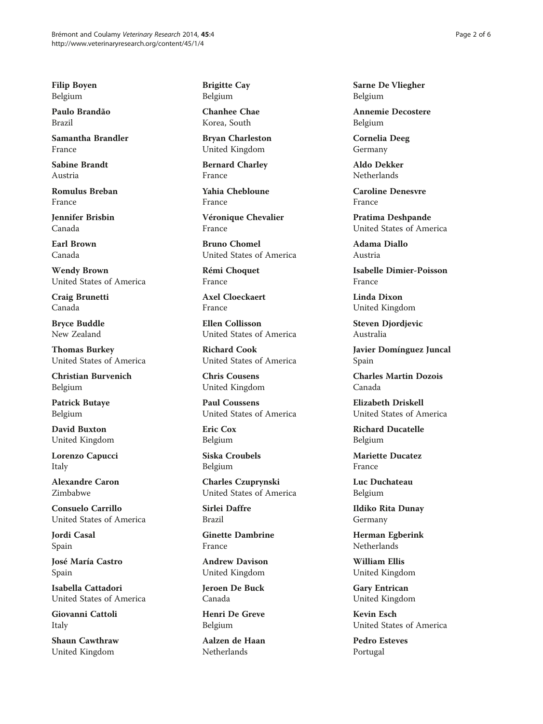Filip Boyen Belgium

Paulo Brandão Brazil

Samantha Brandler France

Sabine Brandt Austria

Romulus Breban France

Jennifer Brisbin Canada

Earl Brown Canada

Wendy Brown United States of America

Craig Brunetti Canada

Bryce Buddle New Zealand

Thomas Burkey United States of America

Christian Burvenich Belgium

Patrick Butaye Belgium

David Buxton United Kingdom

Lorenzo Capucci Italy

Alexandre Caron Zimbabwe

Consuelo Carrillo United States of America

Jordi Casal Spain

José María Castro Spain

Isabella Cattadori United States of America

Giovanni Cattoli Italy

Shaun Cawthraw United Kingdom

Brigitte Cay Belgium

Chanhee Chae Korea, South

Bryan Charleston United Kingdom

Bernard Charley France

Yahia Chebloune France

Véronique Chevalier France

Bruno Chomel United States of America

Rémi Choquet France

Axel Cloeckaert France

Ellen Collisson United States of America

Richard Cook United States of America

Chris Cousens United Kingdom

Paul Coussens United States of America

Eric Cox Belgium

Siska Croubels Belgium

Charles Czuprynski United States of America

Sirlei Daffre Brazil

Ginette Dambrine France

Andrew Davison United Kingdom

Jeroen De Buck Canada

Henri De Greve Belgium

Aalzen de Haan Netherlands

Sarne De Vliegher Belgium

Annemie Decostere Belgium

Cornelia Deeg Germany

Aldo Dekker Netherlands

Caroline Denesvre France

Pratima Deshpande United States of America

Adama Diallo Austria

Isabelle Dimier-Poisson France

Linda Dixon United Kingdom

Steven Djordjevic Australia

Javier Domínguez Juncal Spain

Charles Martin Dozois Canada

Elizabeth Driskell United States of America

Richard Ducatelle Belgium

Mariette Ducatez France

Luc Duchateau Belgium

Ildiko Rita Dunay Germany

Herman Egberink Netherlands

William Ellis United Kingdom

Gary Entrican United Kingdom

Kevin Esch United States of America

Pedro Esteves Portugal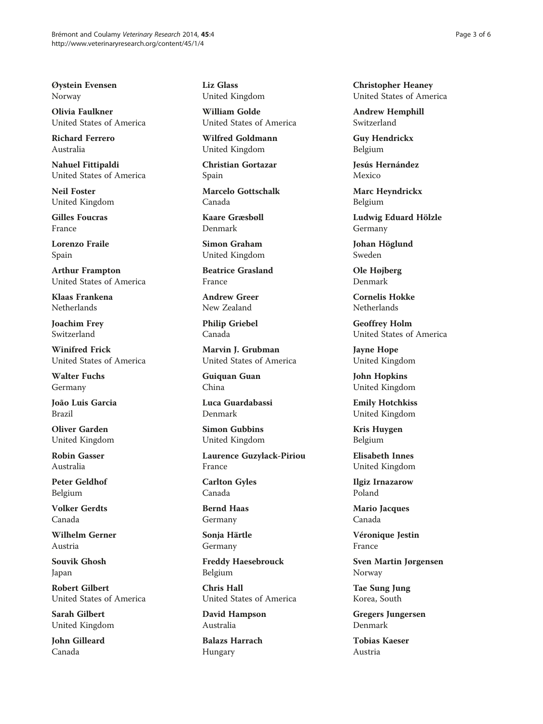Øystein Evensen Norway

Olivia Faulkner United States of America

Richard Ferrero Australia

Nahuel Fittipaldi United States of America

Neil Foster United Kingdom

Gilles Foucras France

Lorenzo Fraile Spain

Arthur Frampton United States of America

Klaas Frankena Netherlands

Joachim Frey Switzerland

Winifred Frick United States of America

Walter Fuchs Germany

João Luis Garcia Brazil

Oliver Garden United Kingdom

Robin Gasser Australia

Peter Geldhof Belgium

Volker Gerdts Canada

Wilhelm Gerner Austria

Souvik Ghosh Japan

Robert Gilbert United States of America

Sarah Gilbert United Kingdom

John Gilleard Canada

Liz Glass United Kingdom

William Golde United States of America

Wilfred Goldmann United Kingdom

Christian Gortazar Spain

Marcelo Gottschalk Canada

Kaare Græsbøll Denmark

Simon Graham United Kingdom

Beatrice Grasland France

Andrew Greer New Zealand

Philip Griebel Canada

Marvin J. Grubman United States of America

Guiquan Guan China

Luca Guardabassi Denmark

Simon Gubbins United Kingdom

Laurence Guzylack-Piriou France

Carlton Gyles Canada

Bernd Haas Germany

Sonja Härtle Germany

Freddy Haesebrouck Belgium

Chris Hall United States of America

David Hampson Australia

Balazs Harrach Hungary

Christopher Heaney United States of America

Andrew Hemphill Switzerland

Guy Hendrickx Belgium

Jesús Hernández Mexico

Marc Heyndrickx Belgium

Ludwig Eduard Hölzle Germany

Johan Höglund Sweden

Ole Højberg Denmark

Cornelis Hokke Netherlands

Geoffrey Holm United States of America

Jayne Hope United Kingdom

John Hopkins United Kingdom

Emily Hotchkiss United Kingdom

Kris Huygen Belgium

Elisabeth Innes United Kingdom

Ilgiz Irnazarow Poland

Mario Jacques Canada

Véronique Jestin France

Sven Martin Jørgensen Norway

Tae Sung Jung Korea, South

Gregers Jungersen Denmark

Tobias Kaeser Austria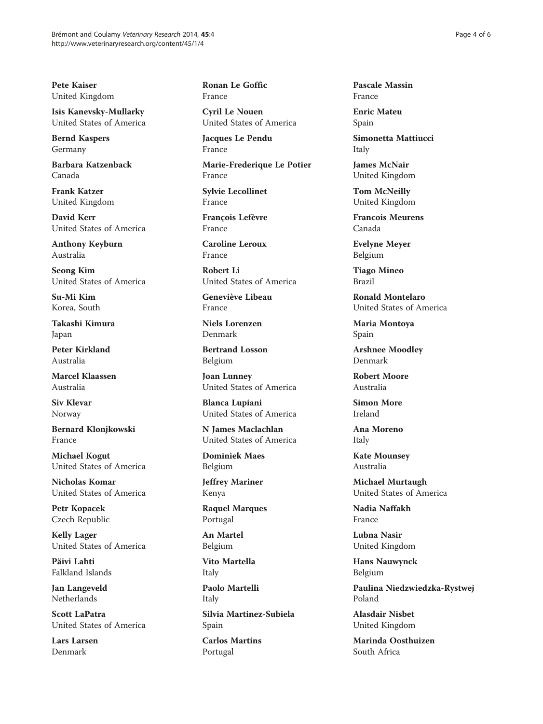Pete Kaiser United Kingdom

Isis Kanevsky-Mullarky United States of America

Bernd Kaspers Germany

Barbara Katzenback Canada

Frank Katzer United Kingdom

David Kerr United States of America

Anthony Keyburn Australia

Seong Kim United States of America

Su-Mi Kim Korea, South

Takashi Kimura Japan

Peter Kirkland Australia

Marcel Klaassen Australia

Siv Klevar Norway

Bernard Klonjkowski France

Michael Kogut United States of America

Nicholas Komar United States of America

Petr Kopacek Czech Republic

Kelly Lager United States of America

Päivi Lahti Falkland Islands

Jan Langeveld Netherlands

Scott LaPatra United States of America

Lars Larsen Denmark

Ronan Le Goffic France

Cyril Le Nouen United States of America

Jacques Le Pendu France

Marie-Frederique Le Potier France

Sylvie Lecollinet France

François Lefèvre France

Caroline Leroux France

Robert Li United States of America

Geneviève Libeau France

Niels Lorenzen Denmark

Bertrand Losson Belgium

Joan Lunney United States of America

Blanca Lupiani United States of America

N James Maclachlan United States of America

Dominiek Maes Belgium

Jeffrey Mariner Kenya

Raquel Marques Portugal

An Martel Belgium

Vito Martella Italy

Paolo Martelli Italy

Silvia Martinez-Subiela Spain

Carlos Martins Portugal

Pascale Massin France

Enric Mateu Spain

Simonetta Mattiucci Italy

James McNair United Kingdom

Tom McNeilly United Kingdom

Francois Meurens Canada

Evelyne Meyer Belgium

Tiago Mineo Brazil

Ronald Montelaro United States of America

Maria Montoya Spain

Arshnee Moodley Denmark

Robert Moore Australia

Simon More Ireland

Ana Moreno Italy

Kate Mounsey Australia

Michael Murtaugh United States of America

Nadia Naffakh France

Lubna Nasir United Kingdom

Hans Nauwynck Belgium

Paulina Niedzwiedzka-Rystwej Poland

Alasdair Nisbet United Kingdom

Marinda Oosthuizen South Africa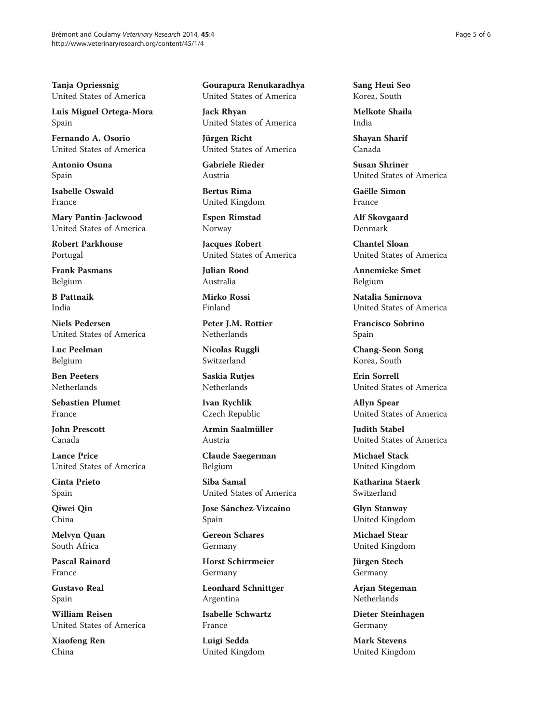Tanja Opriessnig United States of America

Luis Miguel Ortega-Mora Spain

Fernando A. Osorio United States of America

Antonio Osuna Spain

Isabelle Oswald France

Mary Pantin-Jackwood United States of America

Robert Parkhouse Portugal

Frank Pasmans Belgium

B Pattnaik India

Niels Pedersen United States of America

Luc Peelman Belgium

Ben Peeters Netherlands

Sebastien Plumet France

John Prescott Canada

Lance Price United States of America

Cinta Prieto Spain

Qiwei Qin China

Melvyn Quan South Africa

Pascal Rainard France

Gustavo Real Spain

William Reisen United States of America

Xiaofeng Ren China

Gourapura Renukaradhya United States of America

Jack Rhyan United States of America

Jürgen Richt United States of America

Gabriele Rieder Austria

Bertus Rima United Kingdom

Espen Rimstad Norway

Jacques Robert United States of America

Julian Rood Australia

Mirko Rossi Finland

Peter J.M. Rottier **Netherlands** 

Nicolas Ruggli Switzerland

Saskia Rutjes Netherlands

Ivan Rychlik Czech Republic

Armin Saalmüller Austria

Claude Saegerman Belgium

Siba Samal United States of America

Jose Sánchez-Vizcaíno Spain

Gereon Schares Germany

Horst Schirrmeier Germany

Leonhard Schnittger Argentina

Isabelle Schwartz France

Luigi Sedda United Kingdom Sang Heui Seo Korea, South

Melkote Shaila India

Shayan Sharif Canada

Susan Shriner United States of America

Gaëlle Simon France

Alf Skovgaard Denmark

Chantel Sloan United States of America

Annemieke Smet Belgium

Natalia Smirnova United States of America

Francisco Sobrino Spain

Chang-Seon Song Korea, South

Erin Sorrell United States of America

Allyn Spear United States of America

Judith Stabel United States of America

Michael Stack United Kingdom

Katharina Staerk Switzerland

Glyn Stanway United Kingdom

Michael Stear United Kingdom

Jürgen Stech Germany

Arjan Stegeman **Netherlands** 

Dieter Steinhagen Germany

Mark Stevens United Kingdom